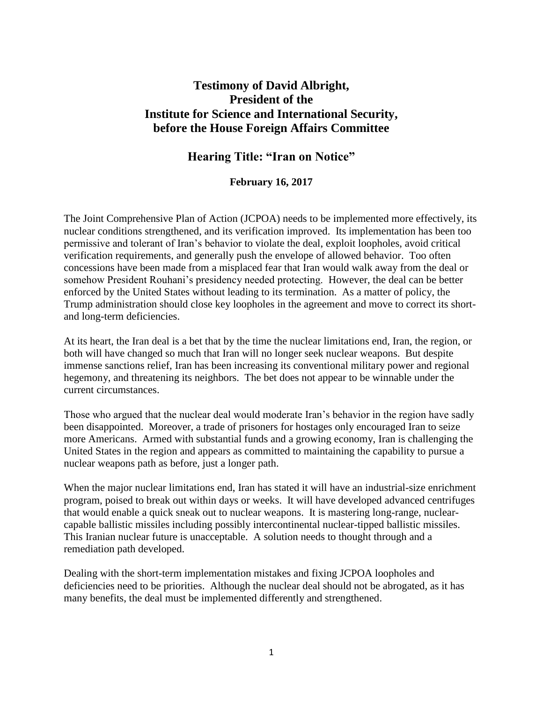# **Testimony of David Albright, President of the Institute for Science and International Security, before the House Foreign Affairs Committee**

### **Hearing Title: "Iran on Notice"**

#### **February 16, 2017**

The Joint Comprehensive Plan of Action (JCPOA) needs to be implemented more effectively, its nuclear conditions strengthened, and its verification improved. Its implementation has been too permissive and tolerant of Iran's behavior to violate the deal, exploit loopholes, avoid critical verification requirements, and generally push the envelope of allowed behavior. Too often concessions have been made from a misplaced fear that Iran would walk away from the deal or somehow President Rouhani's presidency needed protecting. However, the deal can be better enforced by the United States without leading to its termination. As a matter of policy, the Trump administration should close key loopholes in the agreement and move to correct its shortand long-term deficiencies.

At its heart, the Iran deal is a bet that by the time the nuclear limitations end, Iran, the region, or both will have changed so much that Iran will no longer seek nuclear weapons. But despite immense sanctions relief, Iran has been increasing its conventional military power and regional hegemony, and threatening its neighbors. The bet does not appear to be winnable under the current circumstances.

Those who argued that the nuclear deal would moderate Iran's behavior in the region have sadly been disappointed. Moreover, a trade of prisoners for hostages only encouraged Iran to seize more Americans. Armed with substantial funds and a growing economy, Iran is challenging the United States in the region and appears as committed to maintaining the capability to pursue a nuclear weapons path as before, just a longer path.

When the major nuclear limitations end, Iran has stated it will have an industrial-size enrichment program, poised to break out within days or weeks. It will have developed advanced centrifuges that would enable a quick sneak out to nuclear weapons. It is mastering long-range, nuclearcapable ballistic missiles including possibly intercontinental nuclear-tipped ballistic missiles. This Iranian nuclear future is unacceptable. A solution needs to thought through and a remediation path developed.

Dealing with the short-term implementation mistakes and fixing JCPOA loopholes and deficiencies need to be priorities. Although the nuclear deal should not be abrogated, as it has many benefits, the deal must be implemented differently and strengthened.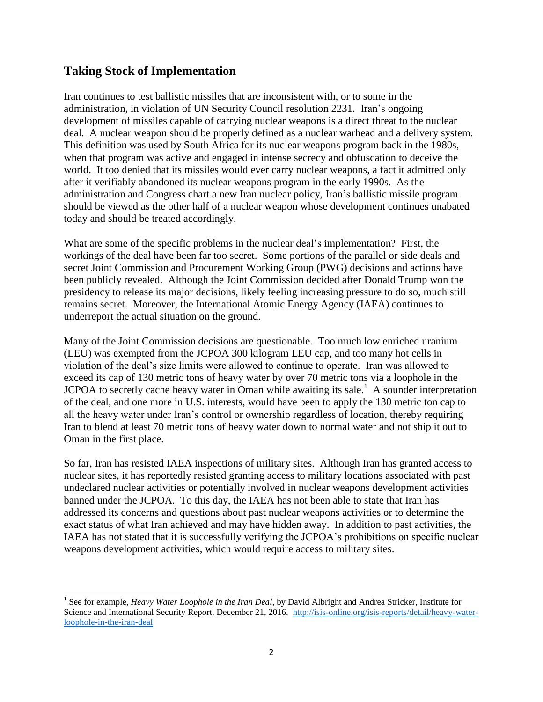### **Taking Stock of Implementation**

 $\overline{\phantom{a}}$ 

Iran continues to test ballistic missiles that are inconsistent with, or to some in the administration, in violation of UN Security Council resolution 2231. Iran's ongoing development of missiles capable of carrying nuclear weapons is a direct threat to the nuclear deal. A nuclear weapon should be properly defined as a nuclear warhead and a delivery system. This definition was used by South Africa for its nuclear weapons program back in the 1980s, when that program was active and engaged in intense secrecy and obfuscation to deceive the world. It too denied that its missiles would ever carry nuclear weapons, a fact it admitted only after it verifiably abandoned its nuclear weapons program in the early 1990s. As the administration and Congress chart a new Iran nuclear policy, Iran's ballistic missile program should be viewed as the other half of a nuclear weapon whose development continues unabated today and should be treated accordingly.

What are some of the specific problems in the nuclear deal's implementation? First, the workings of the deal have been far too secret. Some portions of the parallel or side deals and secret Joint Commission and Procurement Working Group (PWG) decisions and actions have been publicly revealed. Although the Joint Commission decided after Donald Trump won the presidency to release its major decisions, likely feeling increasing pressure to do so, much still remains secret. Moreover, the International Atomic Energy Agency (IAEA) continues to underreport the actual situation on the ground.

Many of the Joint Commission decisions are questionable. Too much low enriched uranium (LEU) was exempted from the JCPOA 300 kilogram LEU cap, and too many hot cells in violation of the deal's size limits were allowed to continue to operate. Iran was allowed to exceed its cap of 130 metric tons of heavy water by over 70 metric tons via a loophole in the JCPOA to secretly cache heavy water in Oman while awaiting its sale.<sup>1</sup> A sounder interpretation of the deal, and one more in U.S. interests, would have been to apply the 130 metric ton cap to all the heavy water under Iran's control or ownership regardless of location, thereby requiring Iran to blend at least 70 metric tons of heavy water down to normal water and not ship it out to Oman in the first place.

So far, Iran has resisted IAEA inspections of military sites. Although Iran has granted access to nuclear sites, it has reportedly resisted granting access to military locations associated with past undeclared nuclear activities or potentially involved in nuclear weapons development activities banned under the JCPOA. To this day, the IAEA has not been able to state that Iran has addressed its concerns and questions about past nuclear weapons activities or to determine the exact status of what Iran achieved and may have hidden away. In addition to past activities, the IAEA has not stated that it is successfully verifying the JCPOA's prohibitions on specific nuclear weapons development activities, which would require access to military sites.

<sup>&</sup>lt;sup>1</sup> See for example, *Heavy Water Loophole in the Iran Deal*, by David Albright and Andrea Stricker, Institute for Science and International Security Report, December 21, 2016. [http://isis-online.org/isis-reports/detail/heavy-water](http://isis-online.org/isis-reports/detail/heavy-water-loophole-in-the-iran-deal)[loophole-in-the-iran-deal](http://isis-online.org/isis-reports/detail/heavy-water-loophole-in-the-iran-deal)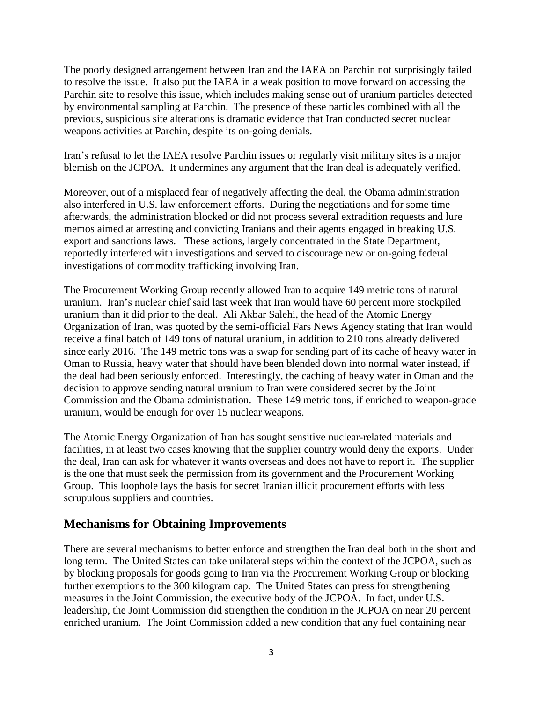The poorly designed arrangement between Iran and the IAEA on Parchin not surprisingly failed to resolve the issue. It also put the IAEA in a weak position to move forward on accessing the Parchin site to resolve this issue, which includes making sense out of uranium particles detected by environmental sampling at Parchin. The presence of these particles combined with all the previous, suspicious site alterations is dramatic evidence that Iran conducted secret nuclear weapons activities at Parchin, despite its on-going denials.

Iran's refusal to let the IAEA resolve Parchin issues or regularly visit military sites is a major blemish on the JCPOA. It undermines any argument that the Iran deal is adequately verified.

Moreover, out of a misplaced fear of negatively affecting the deal, the Obama administration also interfered in U.S. law enforcement efforts. During the negotiations and for some time afterwards, the administration blocked or did not process several extradition requests and lure memos aimed at arresting and convicting Iranians and their agents engaged in breaking U.S. export and sanctions laws. These actions, largely concentrated in the State Department, reportedly interfered with investigations and served to discourage new or on-going federal investigations of commodity trafficking involving Iran.

The Procurement Working Group recently allowed Iran to acquire 149 metric tons of natural uranium. Iran's nuclear chief said last week that Iran would have 60 percent more stockpiled uranium than it did prior to the deal. Ali Akbar Salehi, the head of the Atomic Energy Organization of Iran, was quoted by the semi-official Fars News Agency stating that Iran would receive a final batch of 149 tons of natural uranium, in addition to 210 tons already delivered since early 2016. The 149 metric tons was a swap for sending part of its cache of heavy water in Oman to Russia, heavy water that should have been blended down into normal water instead, if the deal had been seriously enforced. Interestingly, the caching of heavy water in Oman and the decision to approve sending natural uranium to Iran were considered secret by the Joint Commission and the Obama administration. These 149 metric tons, if enriched to weapon-grade uranium, would be enough for over 15 nuclear weapons.

The Atomic Energy Organization of Iran has sought sensitive nuclear-related materials and facilities, in at least two cases knowing that the supplier country would deny the exports. Under the deal, Iran can ask for whatever it wants overseas and does not have to report it. The supplier is the one that must seek the permission from its government and the Procurement Working Group. This loophole lays the basis for secret Iranian illicit procurement efforts with less scrupulous suppliers and countries.

### **Mechanisms for Obtaining Improvements**

There are several mechanisms to better enforce and strengthen the Iran deal both in the short and long term. The United States can take unilateral steps within the context of the JCPOA, such as by blocking proposals for goods going to Iran via the Procurement Working Group or blocking further exemptions to the 300 kilogram cap. The United States can press for strengthening measures in the Joint Commission, the executive body of the JCPOA. In fact, under U.S. leadership, the Joint Commission did strengthen the condition in the JCPOA on near 20 percent enriched uranium. The Joint Commission added a new condition that any fuel containing near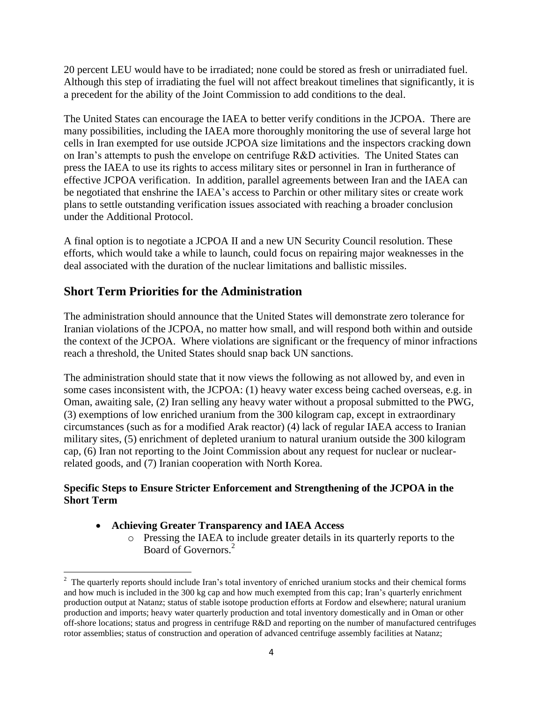20 percent LEU would have to be irradiated; none could be stored as fresh or unirradiated fuel. Although this step of irradiating the fuel will not affect breakout timelines that significantly, it is a precedent for the ability of the Joint Commission to add conditions to the deal.

The United States can encourage the IAEA to better verify conditions in the JCPOA. There are many possibilities, including the IAEA more thoroughly monitoring the use of several large hot cells in Iran exempted for use outside JCPOA size limitations and the inspectors cracking down on Iran's attempts to push the envelope on centrifuge R&D activities. The United States can press the IAEA to use its rights to access military sites or personnel in Iran in furtherance of effective JCPOA verification. In addition, parallel agreements between Iran and the IAEA can be negotiated that enshrine the IAEA's access to Parchin or other military sites or create work plans to settle outstanding verification issues associated with reaching a broader conclusion under the Additional Protocol.

A final option is to negotiate a JCPOA II and a new UN Security Council resolution. These efforts, which would take a while to launch, could focus on repairing major weaknesses in the deal associated with the duration of the nuclear limitations and ballistic missiles.

# **Short Term Priorities for the Administration**

The administration should announce that the United States will demonstrate zero tolerance for Iranian violations of the JCPOA, no matter how small, and will respond both within and outside the context of the JCPOA. Where violations are significant or the frequency of minor infractions reach a threshold, the United States should snap back UN sanctions.

The administration should state that it now views the following as not allowed by, and even in some cases inconsistent with, the JCPOA: (1) heavy water excess being cached overseas, e.g. in Oman, awaiting sale, (2) Iran selling any heavy water without a proposal submitted to the PWG, (3) exemptions of low enriched uranium from the 300 kilogram cap, except in extraordinary circumstances (such as for a modified Arak reactor) (4) lack of regular IAEA access to Iranian military sites, (5) enrichment of depleted uranium to natural uranium outside the 300 kilogram cap, (6) Iran not reporting to the Joint Commission about any request for nuclear or nuclearrelated goods, and (7) Iranian cooperation with North Korea.

#### **Specific Steps to Ensure Stricter Enforcement and Strengthening of the JCPOA in the Short Term**

#### **Achieving Greater Transparency and IAEA Access**

o Pressing the IAEA to include greater details in its quarterly reports to the Board of Governors.<sup>2</sup>

<sup>&</sup>lt;sup>2</sup> The quarterly reports should include Iran's total inventory of enriched uranium stocks and their chemical forms and how much is included in the 300 kg cap and how much exempted from this cap; Iran's quarterly enrichment production output at Natanz; status of stable isotope production efforts at Fordow and elsewhere; natural uranium production and imports; heavy water quarterly production and total inventory domestically and in Oman or other off-shore locations; status and progress in centrifuge R&D and reporting on the number of manufactured centrifuges rotor assemblies; status of construction and operation of advanced centrifuge assembly facilities at Natanz;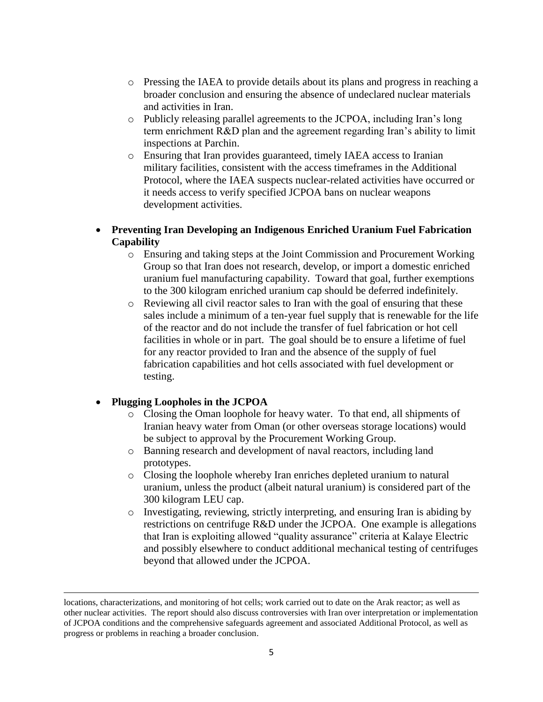- o Pressing the IAEA to provide details about its plans and progress in reaching a broader conclusion and ensuring the absence of undeclared nuclear materials and activities in Iran.
- o Publicly releasing parallel agreements to the JCPOA, including Iran's long term enrichment R&D plan and the agreement regarding Iran's ability to limit inspections at Parchin.
- o Ensuring that Iran provides guaranteed, timely IAEA access to Iranian military facilities, consistent with the access timeframes in the Additional Protocol, where the IAEA suspects nuclear-related activities have occurred or it needs access to verify specified JCPOA bans on nuclear weapons development activities.
- **Preventing Iran Developing an Indigenous Enriched Uranium Fuel Fabrication Capability**
	- o Ensuring and taking steps at the Joint Commission and Procurement Working Group so that Iran does not research, develop, or import a domestic enriched uranium fuel manufacturing capability. Toward that goal, further exemptions to the 300 kilogram enriched uranium cap should be deferred indefinitely.
	- o Reviewing all civil reactor sales to Iran with the goal of ensuring that these sales include a minimum of a ten-year fuel supply that is renewable for the life of the reactor and do not include the transfer of fuel fabrication or hot cell facilities in whole or in part. The goal should be to ensure a lifetime of fuel for any reactor provided to Iran and the absence of the supply of fuel fabrication capabilities and hot cells associated with fuel development or testing.

#### **Plugging Loopholes in the JCPOA**

 $\overline{\phantom{a}}$ 

- o Closing the Oman loophole for heavy water. To that end, all shipments of Iranian heavy water from Oman (or other overseas storage locations) would be subject to approval by the Procurement Working Group.
- o Banning research and development of naval reactors, including land prototypes.
- o Closing the loophole whereby Iran enriches depleted uranium to natural uranium, unless the product (albeit natural uranium) is considered part of the 300 kilogram LEU cap.
- o Investigating, reviewing, strictly interpreting, and ensuring Iran is abiding by restrictions on centrifuge R&D under the JCPOA. One example is allegations that Iran is exploiting allowed "quality assurance" criteria at Kalaye Electric and possibly elsewhere to conduct additional mechanical testing of centrifuges beyond that allowed under the JCPOA.

locations, characterizations, and monitoring of hot cells; work carried out to date on the Arak reactor; as well as other nuclear activities. The report should also discuss controversies with Iran over interpretation or implementation of JCPOA conditions and the comprehensive safeguards agreement and associated Additional Protocol, as well as progress or problems in reaching a broader conclusion.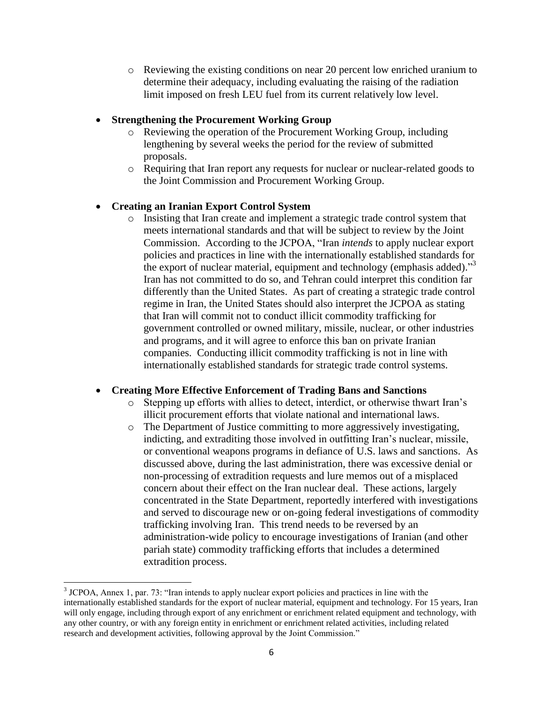o Reviewing the existing conditions on near 20 percent low enriched uranium to determine their adequacy, including evaluating the raising of the radiation limit imposed on fresh LEU fuel from its current relatively low level.

#### **Strengthening the Procurement Working Group**

- o Reviewing the operation of the Procurement Working Group, including lengthening by several weeks the period for the review of submitted proposals.
- o Requiring that Iran report any requests for nuclear or nuclear-related goods to the Joint Commission and Procurement Working Group.

#### **Creating an Iranian Export Control System**

o Insisting that Iran create and implement a strategic trade control system that meets international standards and that will be subject to review by the Joint Commission. According to the JCPOA, "Iran *intends* to apply nuclear export policies and practices in line with the internationally established standards for the export of nuclear material, equipment and technology (emphasis added)."<sup>3</sup> Iran has not committed to do so, and Tehran could interpret this condition far differently than the United States. As part of creating a strategic trade control regime in Iran, the United States should also interpret the JCPOA as stating that Iran will commit not to conduct illicit commodity trafficking for government controlled or owned military, missile, nuclear, or other industries and programs, and it will agree to enforce this ban on private Iranian companies. Conducting illicit commodity trafficking is not in line with internationally established standards for strategic trade control systems.

#### **Creating More Effective Enforcement of Trading Bans and Sanctions**

- o Stepping up efforts with allies to detect, interdict, or otherwise thwart Iran's illicit procurement efforts that violate national and international laws.
- o The Department of Justice committing to more aggressively investigating, indicting, and extraditing those involved in outfitting Iran's nuclear, missile, or conventional weapons programs in defiance of U.S. laws and sanctions. As discussed above, during the last administration, there was excessive denial or non-processing of extradition requests and lure memos out of a misplaced concern about their effect on the Iran nuclear deal. These actions, largely concentrated in the State Department, reportedly interfered with investigations and served to discourage new or on-going federal investigations of commodity trafficking involving Iran. This trend needs to be reversed by an administration-wide policy to encourage investigations of Iranian (and other pariah state) commodity trafficking efforts that includes a determined extradition process.

 $\overline{a}$ 

<sup>&</sup>lt;sup>3</sup> JCPOA, Annex 1, par. 73: "Iran intends to apply nuclear export policies and practices in line with the internationally established standards for the export of nuclear material, equipment and technology. For 15 years, Iran will only engage, including through export of any enrichment or enrichment related equipment and technology, with any other country, or with any foreign entity in enrichment or enrichment related activities, including related research and development activities, following approval by the Joint Commission."